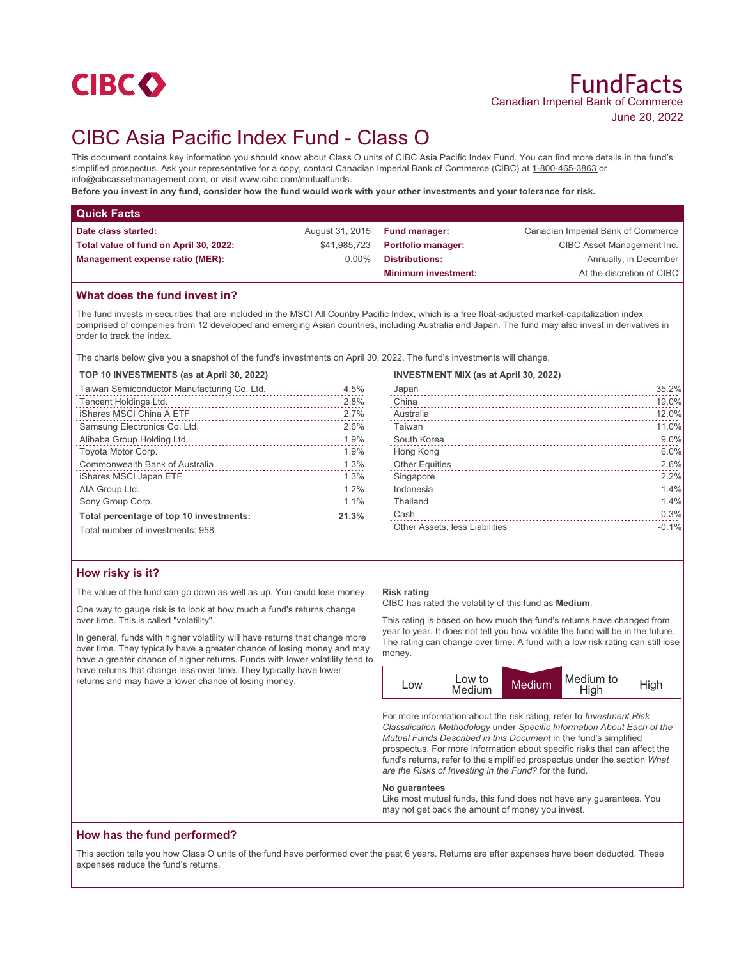

# CIBC Asia Pacific Index Fund - Class O

This document contains key information you should know about Class O units of CIBC Asia Pacific Index Fund. You can find more details in the fund's simplified prospectus. Ask your representative for a copy, contact Canadian Imperial Bank of Commerce (CIBC) at 1-800-465-3863 or info@cibcassetmanagement.com, or visit www.cibc.com/mutualfunds.

**Before you invest in any fund, consider how the fund would work with your other investments and your tolerance for risk.**

| <b>Quick Facts</b>                     |          |                                 |                                    |
|----------------------------------------|----------|---------------------------------|------------------------------------|
| Date class started:                    |          | August 31, 2015 Fund manager:   | Canadian Imperial Bank of Commerce |
| Total value of fund on April 30, 2022: |          | \$41,985,723 Portfolio manager: | CIBC Asset Management Inc.         |
| Management expense ratio (MER):        | $0.00\%$ | Distributions:                  | Annually, in December              |
|                                        |          | <b>Minimum investment:</b>      | At the discretion of CIBC          |

## **What does the fund invest in?**

The fund invests in securities that are included in the MSCI All Country Pacific Index, which is a free float-adjusted market-capitalization index comprised of companies from 12 developed and emerging Asian countries, including Australia and Japan. The fund may also invest in derivatives in order to track the index.

The charts below give you a snapshot of the fund's investments on April 30, 2022. The fund's investments will change.

#### **TOP 10 INVESTMENTS (as at April 30, 2022)**

| Taiwan Semiconductor Manufacturing Co. Ltd. | 4.5%  |
|---------------------------------------------|-------|
| Tencent Holdings Ltd.                       | 2.8%  |
| iShares MSCI China A ETF                    | 2.7%  |
| Samsung Electronics Co. Ltd.                | 2.6%  |
| Alibaba Group Holding Ltd.                  | 1.9%  |
| Toyota Motor Corp.                          | 1.9%  |
| Commonwealth Bank of Australia              | 1.3%  |
| iShares MSCI Japan ETF                      | 1.3%  |
| AIA Group Ltd.                              | 1.2%  |
| Sony Group Corp.                            | 1.1%  |
| Total percentage of top 10 investments:     | 21.3% |
| Total number of investments: 958            |       |

#### **INVESTMENT MIX (as at April 30, 2022)**

| Japan                          | 35.2%   |
|--------------------------------|---------|
| China                          | 19.0%   |
| Australia                      | 12.0%   |
| Taiwan                         | 11.0%   |
| South Korea                    | 9.0%    |
| Hong Kong                      | 6.0%    |
|                                | 2.6%    |
| Singapore                      | 2.2%    |
| Indonesia                      | 1.4%    |
| Thailand                       | 1.4%    |
| Cash                           | 0.3%    |
| Other Assets, less Liabilities | $-0.1%$ |
|                                |         |

## **How risky is it?**

The value of the fund can go down as well as up. You could lose money.

One way to gauge risk is to look at how much a fund's returns change over time. This is called "volatility".

In general, funds with higher volatility will have returns that change more over time. They typically have a greater chance of losing money and may have a greater chance of higher returns. Funds with lower volatility tend to have returns that change less over time. They typically have lower returns and may have a lower chance of losing money.

#### **Risk rating**

CIBC has rated the volatility of this fund as **Medium**.

This rating is based on how much the fund's returns have changed from year to year. It does not tell you how volatile the fund will be in the future. The rating can change over time. A fund with a low risk rating can still lose money.



For more information about the risk rating, refer to *Investment Risk Classification Methodology* under *Specific Information About Each of the Mutual Funds Described in this Document* in the fund's simplified prospectus. For more information about specific risks that can affect the fund's returns, refer to the simplified prospectus under the section *What are the Risks of Investing in the Fund?* for the fund.

#### **No guarantees**

Like most mutual funds, this fund does not have any guarantees. You may not get back the amount of money you invest.

## **How has the fund performed?**

This section tells you how Class O units of the fund have performed over the past 6 years. Returns are after expenses have been deducted. These expenses reduce the fund's returns.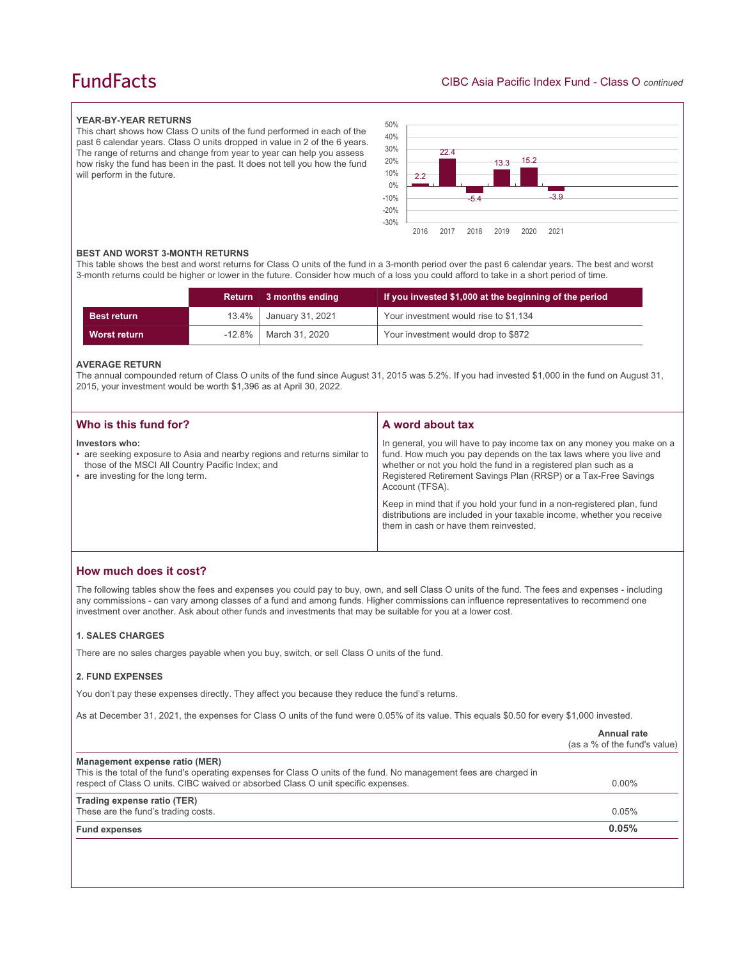## **FundFacts**

#### **YEAR-BY-YEAR RETURNS**

This chart shows how Class O units of the fund performed in each of the past 6 calendar years. Class O units dropped in value in 2 of the 6 years. The range of returns and change from year to year can help you assess how risky the fund has been in the past. It does not tell you how the fund will perform in the future.



#### **BEST AND WORST 3-MONTH RETURNS**

This table shows the best and worst returns for Class O units of the fund in a 3-month period over the past 6 calendar years. The best and worst 3-month returns could be higher or lower in the future. Consider how much of a loss you could afford to take in a short period of time.

|                    |          | Return 3 months ending     | If you invested \$1,000 at the beginning of the period |
|--------------------|----------|----------------------------|--------------------------------------------------------|
| <b>Best return</b> | $13.4\%$ | January 31, 2021           | Your investment would rise to \$1,134                  |
| Worst return       |          | $-12.8\%$   March 31, 2020 | Your investment would drop to \$872                    |

## **AVERAGE RETURN**

The annual compounded return of Class O units of the fund since August 31, 2015 was 5.2%. If you had invested \$1,000 in the fund on August 31, 2015, your investment would be worth \$1,396 as at April 30, 2022.

| Who is this fund for?                                                                                                                                                                | A word about tax                                                                                                                                                                                                                                                                                     |
|--------------------------------------------------------------------------------------------------------------------------------------------------------------------------------------|------------------------------------------------------------------------------------------------------------------------------------------------------------------------------------------------------------------------------------------------------------------------------------------------------|
| Investors who:<br>• are seeking exposure to Asia and nearby regions and returns similar to<br>those of the MSCI All Country Pacific Index; and<br>• are investing for the long term. | In general, you will have to pay income tax on any money you make on a<br>fund. How much you pay depends on the tax laws where you live and<br>whether or not you hold the fund in a registered plan such as a<br>Registered Retirement Savings Plan (RRSP) or a Tax-Free Savings<br>Account (TFSA). |
|                                                                                                                                                                                      | Keep in mind that if you hold your fund in a non-registered plan, fund<br>distributions are included in your taxable income, whether you receive<br>them in cash or have them reinvested.                                                                                                            |

## **How much does it cost?**

The following tables show the fees and expenses you could pay to buy, own, and sell Class O units of the fund. The fees and expenses - including any commissions - can vary among classes of a fund and among funds. Higher commissions can influence representatives to recommend one investment over another. Ask about other funds and investments that may be suitable for you at a lower cost.

#### **1. SALES CHARGES**

There are no sales charges payable when you buy, switch, or sell Class O units of the fund.

#### **2. FUND EXPENSES**

You don't pay these expenses directly. They affect you because they reduce the fund's returns.

As at December 31, 2021, the expenses for Class O units of the fund were 0.05% of its value. This equals \$0.50 for every \$1,000 invested.

|                                                                                                                                                                                                                                            | Annual rate<br>(as a % of the fund's value) |
|--------------------------------------------------------------------------------------------------------------------------------------------------------------------------------------------------------------------------------------------|---------------------------------------------|
| Management expense ratio (MER)<br>This is the total of the fund's operating expenses for Class O units of the fund. No management fees are charged in<br>respect of Class O units. CIBC waived or absorbed Class O unit specific expenses. | $0.00\%$                                    |
| Trading expense ratio (TER)<br>These are the fund's trading costs.                                                                                                                                                                         | 0.05%                                       |
| <b>Fund expenses</b>                                                                                                                                                                                                                       | 0.05%                                       |